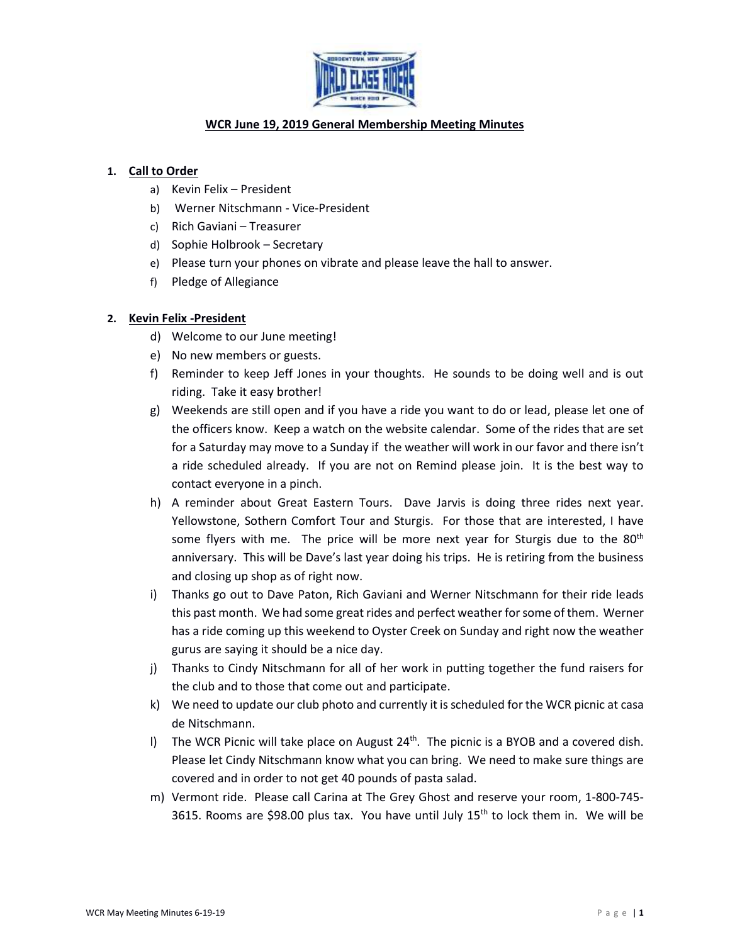

# **WCR June 19, 2019 General Membership Meeting Minutes**

### **1. Call to Order**

- a) Kevin Felix President
- b) Werner Nitschmann Vice-President
- c) Rich Gaviani Treasurer
- d) Sophie Holbrook Secretary
- e) Please turn your phones on vibrate and please leave the hall to answer.
- f) Pledge of Allegiance

# **2. Kevin Felix -President**

- d) Welcome to our June meeting!
- e) No new members or guests.
- f) Reminder to keep Jeff Jones in your thoughts. He sounds to be doing well and is out riding. Take it easy brother!
- g) Weekends are still open and if you have a ride you want to do or lead, please let one of the officers know. Keep a watch on the website calendar. Some of the rides that are set for a Saturday may move to a Sunday if the weather will work in our favor and there isn't a ride scheduled already. If you are not on Remind please join. It is the best way to contact everyone in a pinch.
- h) A reminder about Great Eastern Tours. Dave Jarvis is doing three rides next year. Yellowstone, Sothern Comfort Tour and Sturgis. For those that are interested, I have some flyers with me. The price will be more next year for Sturgis due to the  $80<sup>th</sup>$ anniversary. This will be Dave's last year doing his trips. He is retiring from the business and closing up shop as of right now.
- i) Thanks go out to Dave Paton, Rich Gaviani and Werner Nitschmann for their ride leads this past month. We had some great rides and perfect weather for some of them. Werner has a ride coming up this weekend to Oyster Creek on Sunday and right now the weather gurus are saying it should be a nice day.
- j) Thanks to Cindy Nitschmann for all of her work in putting together the fund raisers for the club and to those that come out and participate.
- k) We need to update our club photo and currently it is scheduled for the WCR picnic at casa de Nitschmann.
- I) The WCR Picnic will take place on August 24<sup>th</sup>. The picnic is a BYOB and a covered dish. Please let Cindy Nitschmann know what you can bring. We need to make sure things are covered and in order to not get 40 pounds of pasta salad.
- m) Vermont ride. Please call Carina at The Grey Ghost and reserve your room, 1-800-745- 3615. Rooms are \$98.00 plus tax. You have until July  $15<sup>th</sup>$  to lock them in. We will be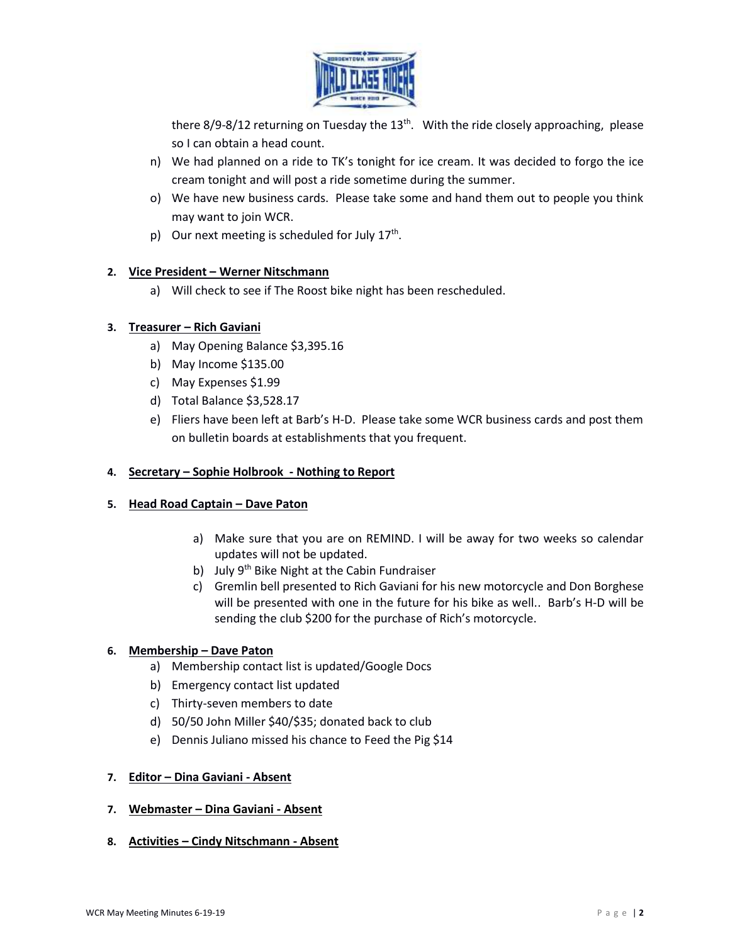

there 8/9-8/12 returning on Tuesday the  $13<sup>th</sup>$ . With the ride closely approaching, please so I can obtain a head count.

- n) We had planned on a ride to TK's tonight for ice cream. It was decided to forgo the ice cream tonight and will post a ride sometime during the summer.
- o) We have new business cards. Please take some and hand them out to people you think may want to join WCR.
- p) Our next meeting is scheduled for July  $17<sup>th</sup>$ .

# **2. Vice President – Werner Nitschmann**

a) Will check to see if The Roost bike night has been rescheduled.

# **3. Treasurer – Rich Gaviani**

- a) May Opening Balance \$3,395.16
- b) May Income \$135.00
- c) May Expenses \$1.99
- d) Total Balance \$3,528.17
- e) Fliers have been left at Barb's H-D. Please take some WCR business cards and post them on bulletin boards at establishments that you frequent.

#### **4. Secretary – Sophie Holbrook - Nothing to Report**

#### **5. Head Road Captain – Dave Paton**

- a) Make sure that you are on REMIND. I will be away for two weeks so calendar updates will not be updated.
- b) July 9<sup>th</sup> Bike Night at the Cabin Fundraiser
- c) Gremlin bell presented to Rich Gaviani for his new motorcycle and Don Borghese will be presented with one in the future for his bike as well.. Barb's H-D will be sending the club \$200 for the purchase of Rich's motorcycle.

#### **6. Membership – Dave Paton**

- a) Membership contact list is updated/Google Docs
- b) Emergency contact list updated
- c) Thirty-seven members to date
- d) 50/50 John Miller \$40/\$35; donated back to club
- e) Dennis Juliano missed his chance to Feed the Pig \$14

#### **7. Editor – Dina Gaviani - Absent**

- **7. Webmaster – Dina Gaviani - Absent**
- **8. Activities – Cindy Nitschmann - Absent**